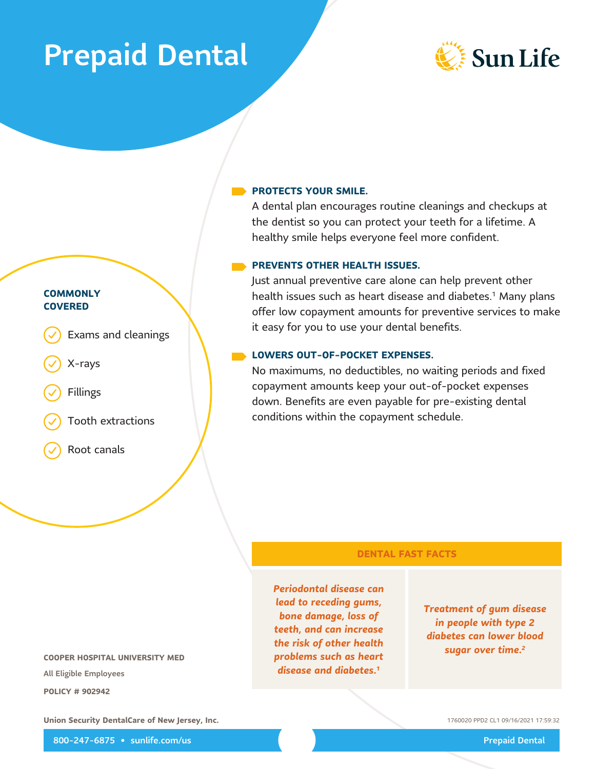# **Prepaid Dental**



## **PROTECTS YOUR SMILE.**

A dental plan encourages routine cleanings and checkups at the dentist so you can protect your teeth for a lifetime. A healthy smile helps everyone feel more confident.

### **PREVENTS OTHER HEALTH ISSUES.**

Just annual preventive care alone can help prevent other health issues such as heart disease and diabetes.<sup>1</sup> Many plans offer low copayment amounts for preventive services to make it easy for you to use your dental benefits.

#### LOWERS OUT-OF-POCKET EXPENSES.

No maximums, no deductibles, no waiting periods and fixed copayment amounts keep your out-of-pocket expenses down. Benefits are even payable for pre-existing dental conditions within the copayment schedule.

### **DENTAL FAST FACTS**

Periodontal disease can lead to receding gums, bone damage, loss of teeth, and can increase the risk of other health problems such as heart disease and diabetes.<sup>1</sup>

# **Treatment of gum disease** in people with type 2 diabetes can lower blood sugar over time.<sup>2</sup>

**COOPER HOSPITAL UNIVERSITY MED** All Eligible Employees **POLICY # 902942** 

Union Security DentalCare of New Jersey, Inc.

1760020 PPD2 CL1 09/16/2021 17:59:32

800-247-6875 · sunlife.com/us

**Prepaid Dental** 

Exams and cleanings

- 
- X-rays

**COMMONLY** 

**COVERED** 

- Fillings
- Tooth extractions
- Root canals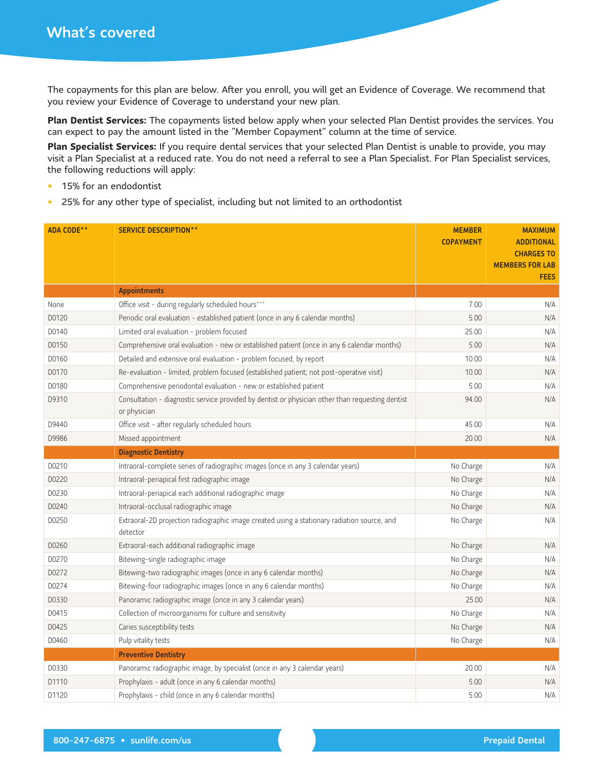The copayments for this plan are below. After you enroll, you will get an Evidence of Coverage. We recommend that you review your Evidence of Coverage to understand your new plan.

Plan Dentist Services: The copayments listed below apply when your selected Plan Dentist provides the services. You can expect to pay the amount listed in the "Member Copayment" column at the time of service.

Plan Specialist Services: If you require dental services that your selected Plan Dentist is unable to provide, you may visit a Plan Specialist at a reduced rate. You do not need a referral to see a Plan Specialist. For Plan Specialist services, the following reductions will apply:

- 15% for an endodontist  $\bullet$
- 25% for any other type of specialist, including but not limited to an orthodontist  $\bullet$

| <b>ADA CODE**</b> | <b>SERVICE DESCRIPTION**</b>                                                                                     | <b>MEMBER</b><br><b>COPAYMENT</b> | <b>MAXIMUM</b><br><b>ADDITIONAL</b><br><b>CHARGES TO</b><br><b>MEMBERS FOR LAB</b> |
|-------------------|------------------------------------------------------------------------------------------------------------------|-----------------------------------|------------------------------------------------------------------------------------|
|                   |                                                                                                                  |                                   | <b>FEES</b>                                                                        |
|                   | <b>Appointments</b>                                                                                              |                                   |                                                                                    |
| None              | Office visit - during regularly scheduled hours***                                                               | 7.00                              | N/A                                                                                |
| D0120             | Periodic oral evaluation - established patient (once in any 6 calendar months)                                   | 5.00                              | N/A                                                                                |
| D0140             | Limited oral evaluation - problem focused                                                                        | 25.00                             | N/A                                                                                |
| D0150             | Comprehensive oral evaluation - new or established patient (once in any 6 calendar months)                       | 5.00                              | N/A                                                                                |
| D0160             | Detailed and extensive oral evaluation - problem focused, by report                                              | 10.00                             | N/A                                                                                |
| D0170             | Re-evaluation - limited, problem focused (established patient; not post-operative visit)                         | 10.00                             | N/A                                                                                |
| D0180             | Comprehensive periodontal evaluation - new or established patient                                                | 5.00                              | N/A                                                                                |
| D9310             | Consultation - diagnostic service provided by dentist or physician other than requesting dentist<br>or physician | 94.00                             | N/A                                                                                |
| D9440             | Office visit - after regularly scheduled hours                                                                   | 45.00                             | N/A                                                                                |
| D9986             | Missed appointment                                                                                               | 20.00                             | N/A                                                                                |
|                   | <b>Diagnostic Dentistry</b>                                                                                      |                                   |                                                                                    |
| D0210             | Intraoral-complete series of radiographic images (once in any 3 calendar years)                                  | No Charge                         | N/A                                                                                |
| D0220             | Intraoral-periapical first radiographic image                                                                    | No Charge                         | N/A                                                                                |
| D0230             | Intraoral-periapical each additional radiographic image                                                          |                                   | N/A                                                                                |
| D0240             | Intraoral-occlusal radiographic image                                                                            | No Charge                         | N/A                                                                                |
| D0250             | Extraoral-2D projection radiographic image created using a stationary radiation source, and<br>detector          | No Charge                         | N/A                                                                                |
| D0260             | Extraoral-each additional radiographic image                                                                     | No Charge                         | N/A                                                                                |
| D0270             | Bitewing-single radiographic image                                                                               | No Charge                         | N/A                                                                                |
| D0272             | Bitewing-two radiographic images (once in any 6 calendar months)                                                 | No Charge                         | N/A                                                                                |
| D0274             | Bitewing-four radiographic images (once in any 6 calendar months)                                                | No Charge                         | N/A                                                                                |
| D0330             | Panoramic radiographic image (once in any 3 calendar years)                                                      | 25.00                             | N/A                                                                                |
| D0415             | Collection of microorganisms for culture and sensitivity                                                         | No Charge                         | N/A                                                                                |
| D0425             | Caries susceptibility tests                                                                                      | No Charge                         | N/A                                                                                |
| D0460             | Pulp vitality tests                                                                                              | No Charge                         | N/A                                                                                |
|                   | <b>Preventive Dentistry</b>                                                                                      |                                   |                                                                                    |
| D0330             | Panoramic radiographic image, by specialist (once in any 3 calendar years)                                       | 20.00                             | N/A                                                                                |
| D1110             | Prophylaxis - adult (once in any 6 calendar months)                                                              | 5.00                              | N/A                                                                                |
| D1120             | Prophylaxis - child (once in any 6 calendar months)                                                              | 5.00                              | N/A                                                                                |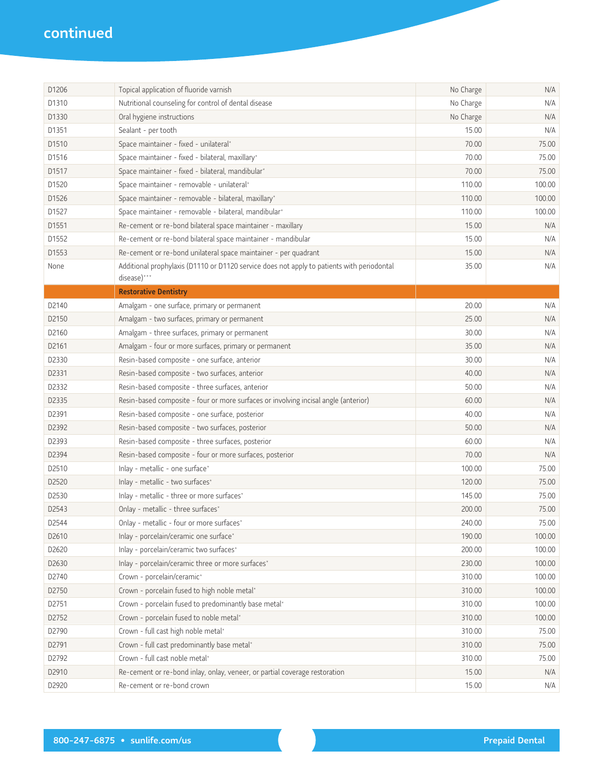| D1206 | Topical application of fluoride varnish                                                                   | No Charge | N/A    |
|-------|-----------------------------------------------------------------------------------------------------------|-----------|--------|
| D1310 | Nutritional counseling for control of dental disease                                                      | No Charge | N/A    |
| D1330 | Oral hygiene instructions                                                                                 | No Charge | N/A    |
| D1351 | Sealant - per tooth                                                                                       | 15.00     | N/A    |
| D1510 | Space maintainer - fixed - unilateral*                                                                    | 70.00     | 75.00  |
| D1516 | Space maintainer - fixed - bilateral, maxillary*                                                          | 70.00     | 75.00  |
| D1517 | Space maintainer - fixed - bilateral, mandibular*                                                         | 70.00     | 75.00  |
| D1520 | Space maintainer - removable - unilateral*                                                                | 110.00    | 100.00 |
| D1526 | Space maintainer - removable - bilateral, maxillary*                                                      | 110.00    | 100.00 |
| D1527 | Space maintainer - removable - bilateral, mandibular*                                                     | 110.00    | 100.00 |
| D1551 | Re-cement or re-bond bilateral space maintainer - maxillary                                               | 15.00     | N/A    |
| D1552 | Re-cement or re-bond bilateral space maintainer - mandibular                                              | 15.00     | N/A    |
| D1553 | Re-cement or re-bond unilateral space maintainer - per quadrant                                           | 15.00     | N/A    |
| None  | Additional prophylaxis (D1110 or D1120 service does not apply to patients with periodontal<br>disease)*** | 35.00     | N/A    |
|       | <b>Restorative Dentistry</b>                                                                              |           |        |
| D2140 | Amalgam - one surface, primary or permanent                                                               | 20.00     | N/A    |
| D2150 | Amalgam - two surfaces, primary or permanent                                                              | 25.00     | N/A    |
| D2160 | Amalgam - three surfaces, primary or permanent                                                            | 30.00     | N/A    |
| D2161 | Amalgam - four or more surfaces, primary or permanent                                                     | 35.00     | N/A    |
| D2330 | Resin-based composite - one surface, anterior                                                             | 30.00     | N/A    |
| D2331 | Resin-based composite - two surfaces, anterior                                                            | 40.00     | N/A    |
| D2332 | Resin-based composite - three surfaces, anterior                                                          | 50.00     | N/A    |
| D2335 | Resin-based composite - four or more surfaces or involving incisal angle (anterior)                       | 60.00     | N/A    |
| D2391 | Resin-based composite - one surface, posterior                                                            | 40.00     | N/A    |
| D2392 | Resin-based composite - two surfaces, posterior                                                           | 50.00     | N/A    |
| D2393 | Resin-based composite - three surfaces, posterior                                                         | 60.00     | N/A    |
| D2394 | Resin-based composite - four or more surfaces, posterior                                                  | 70.00     | N/A    |
| D2510 | Inlay - metallic - one surface*                                                                           | 100.00    | 75.00  |
| D2520 | Inlay - metallic - two surfaces*                                                                          | 120.00    | 75.00  |
| D2530 | Inlay - metallic - three or more surfaces*                                                                | 145.00    | 75.00  |
| D2543 | Onlay - metallic - three surfaces*                                                                        | 200.00    | 75.00  |
| D2544 | Onlay - metallic - four or more surfaces*                                                                 | 240.00    | 75.00  |
| D2610 | Inlay - porcelain/ceramic one surface*                                                                    | 190.00    | 100.00 |
| D2620 | Inlay - porcelain/ceramic two surfaces*                                                                   | 200.00    | 100.00 |
| D2630 | Inlay - porcelain/ceramic three or more surfaces*                                                         | 230.00    | 100.00 |
| D2740 | Crown - porcelain/ceramic*                                                                                | 310.00    | 100.00 |
| D2750 | Crown - porcelain fused to high noble metal*                                                              | 310.00    | 100.00 |
| D2751 | Crown - porcelain fused to predominantly base metal*                                                      | 310.00    | 100.00 |
| D2752 | Crown - porcelain fused to noble metal*                                                                   | 310.00    | 100.00 |
| D2790 | Crown - full cast high noble metal*                                                                       | 310.00    | 75.00  |
| D2791 | Crown - full cast predominantly base metal*                                                               | 310.00    | 75.00  |
| D2792 | Crown - full cast noble metal*                                                                            | 310.00    | 75.00  |
| D2910 | Re-cement or re-bond inlay, onlay, veneer, or partial coverage restoration                                | 15.00     | N/A    |
| D2920 | Re-cement or re-bond crown                                                                                | 15.00     | N/A    |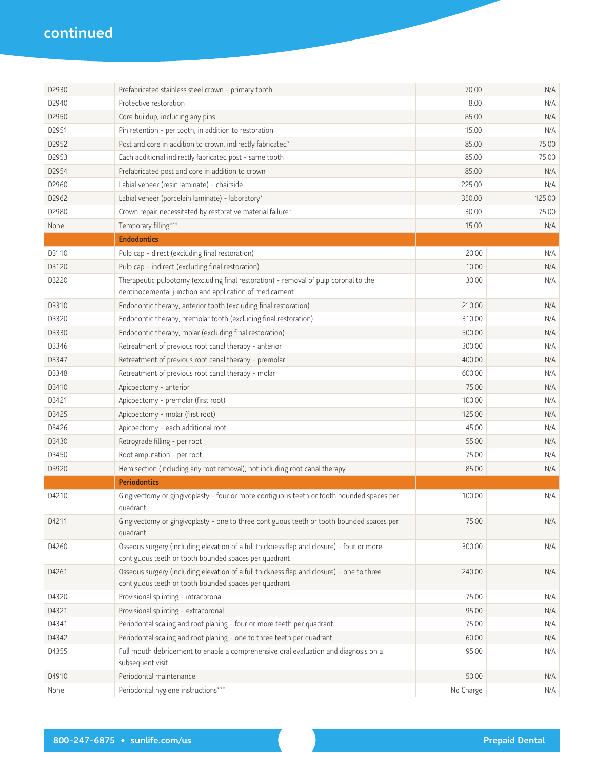| D2930 | Prefabricated stainless steel crown - primary tooth                                                                                                | 70.00     | N/A    |
|-------|----------------------------------------------------------------------------------------------------------------------------------------------------|-----------|--------|
| D2940 | Protective restoration                                                                                                                             | 8.00      | N/A    |
| D2950 | Core buildup, including any pins                                                                                                                   | 85.00     | N/A    |
| D2951 | Pin retention - per tooth, in addition to restoration                                                                                              | 15.00     | N/A    |
| D2952 | Post and core in addition to crown, indirectly fabricated*                                                                                         | 85.00     | 75.00  |
| D2953 | Each additional indirectly fabricated post - same tooth                                                                                            | 85.00     | 75.00  |
| D2954 | Prefabricated post and core in addition to crown                                                                                                   | 85.00     | N/A    |
| D2960 | Labial veneer (resin laminate) - chairside                                                                                                         | 225.00    | N/A    |
| D2962 | Labial veneer (porcelain laminate) - laboratory*                                                                                                   | 350.00    | 125.00 |
| D2980 | Crown repair necessitated by restorative material failure*                                                                                         | 30.00     | 75.00  |
| None  | Temporary filling***                                                                                                                               | 15.00     | N/A    |
|       | <b>Endodontics</b>                                                                                                                                 |           |        |
| D3110 | Pulp cap - direct (excluding final restoration)                                                                                                    | 20.00     | N/A    |
| D3120 | Pulp cap - indirect (excluding final restoration)                                                                                                  | 10.00     | N/A    |
| D3220 | Therapeutic pulpotomy (excluding final restoration) - removal of pulp coronal to the<br>dentinocemental junction and application of medicament     | 30.00     | N/A    |
| D3310 | Endodontic therapy, anterior tooth (excluding final restoration)                                                                                   | 210.00    | N/A    |
| D3320 | Endodontic therapy, premolar tooth (excluding final restoration)                                                                                   | 310.00    | N/A    |
| D3330 | Endodontic therapy, molar (excluding final restoration)                                                                                            | 500.00    | N/A    |
| D3346 | Retreatment of previous root canal therapy - anterior                                                                                              | 300.00    | N/A    |
| D3347 | Retreatment of previous root canal therapy - premolar                                                                                              | 400.00    | N/A    |
| D3348 | Retreatment of previous root canal therapy - molar                                                                                                 | 600.00    | N/A    |
| D3410 | Apicoectomy - anterior                                                                                                                             | 75.00     | N/A    |
| D3421 | Apicoectomy - premolar (first root)                                                                                                                | 100.00    | N/A    |
| D3425 | Apicoectomy - molar (first root)                                                                                                                   | 125.00    | N/A    |
| D3426 | Apicoectomy - each additional root                                                                                                                 | 45.00     | N/A    |
| D3430 | Retrograde filling - per root                                                                                                                      | 55.00     | N/A    |
| D3450 | Root amputation - per root                                                                                                                         | 75.00     | N/A    |
| D3920 | Hemisection (including any root removal), not including root canal therapy                                                                         | 85.00     | N/A    |
|       | <b>Periodontics</b>                                                                                                                                |           |        |
| D4210 | Gingivectomy or gingivoplasty - four or more contiguous teeth or tooth bounded spaces per<br>quadrant                                              | 100.00    | N/A    |
| D4211 | Gingivectomy or gingivoplasty - one to three contiguous teeth or tooth bounded spaces per<br>quadrant                                              | 75.00     | N/A    |
| D4260 | Osseous surgery (including elevation of a full thickness flap and closure) - four or more<br>contiguous teeth or tooth bounded spaces per quadrant | 300.00    | N/A    |
| D4261 | Osseous surgery (including elevation of a full thickness flap and closure) - one to three<br>contiguous teeth or tooth bounded spaces per quadrant | 240.00    | N/A    |
| D4320 | Provisional splinting - intracoronal                                                                                                               | 75.00     | N/A    |
| D4321 | Provisional splinting - extracoronal                                                                                                               | 95.00     | N/A    |
| D4341 | Periodontal scaling and root planing - four or more teeth per quadrant                                                                             | 75.00     | N/A    |
| D4342 | Periodontal scaling and root planing - one to three teeth per quadrant                                                                             | 60.00     | N/A    |
| D4355 | Full mouth debridement to enable a comprehensive oral evaluation and diagnosis on a<br>subsequent visit                                            | 95.00     | N/A    |
| D4910 | Periodontal maintenance                                                                                                                            | 50.00     | N/A    |
| None  | Periodontal hygiene instructions***                                                                                                                | No Charge | N/A    |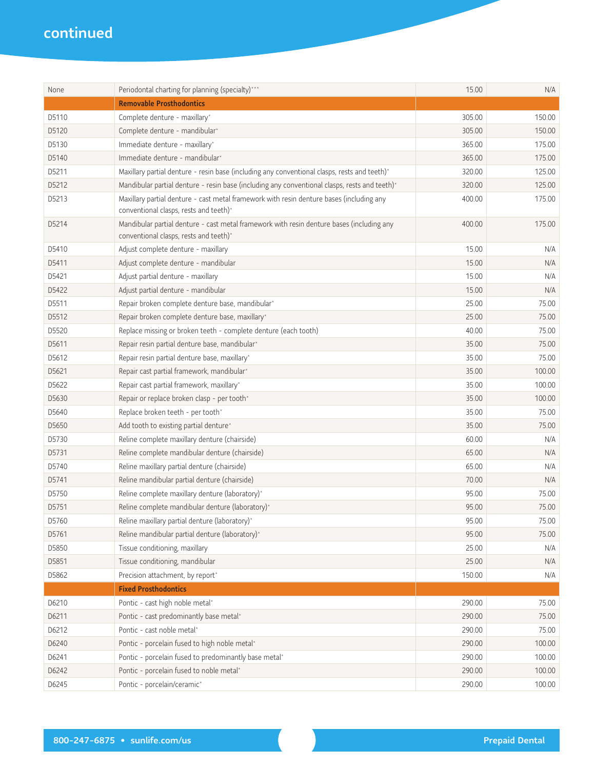| None  | Periodontal charting for planning (specialty)***                                                                                    | 15.00  | N/A    |
|-------|-------------------------------------------------------------------------------------------------------------------------------------|--------|--------|
|       | <b>Removable Prosthodontics</b>                                                                                                     |        |        |
| D5110 | Complete denture - maxillary*                                                                                                       | 305.00 | 150.00 |
| D5120 | Complete denture - mandibular*                                                                                                      | 305.00 | 150.00 |
| D5130 | Immediate denture - maxillary*                                                                                                      | 365.00 | 175.00 |
| D5140 | Immediate denture - mandibular*                                                                                                     | 365.00 | 175.00 |
| D5211 | Maxillary partial denture - resin base (including any conventional clasps, rests and teeth)*                                        | 320.00 | 125.00 |
| D5212 | Mandibular partial denture - resin base (including any conventional clasps, rests and teeth)*                                       | 320.00 | 125.00 |
| D5213 | Maxillary partial denture - cast metal framework with resin denture bases (including any<br>conventional clasps, rests and teeth)*  | 400.00 | 175.00 |
| D5214 | Mandibular partial denture - cast metal framework with resin denture bases (including any<br>conventional clasps, rests and teeth)* | 400.00 | 175.00 |
| D5410 | Adjust complete denture - maxillary                                                                                                 | 15.00  | N/A    |
| D5411 | Adjust complete denture - mandibular                                                                                                | 15.00  | N/A    |
| D5421 | Adjust partial denture - maxillary                                                                                                  | 15.00  | N/A    |
| D5422 | Adjust partial denture - mandibular                                                                                                 | 15.00  | N/A    |
| D5511 | Repair broken complete denture base, mandibular*                                                                                    | 25.00  | 75.00  |
| D5512 | Repair broken complete denture base, maxillary*                                                                                     | 25.00  | 75.00  |
| D5520 | Replace missing or broken teeth - complete denture (each tooth)                                                                     | 40.00  | 75.00  |
| D5611 | Repair resin partial denture base, mandibular*                                                                                      | 35.00  | 75.00  |
| D5612 | Repair resin partial denture base, maxillary*                                                                                       | 35.00  | 75.00  |
| D5621 | Repair cast partial framework, mandibular*                                                                                          | 35.00  | 100.00 |
| D5622 | Repair cast partial framework, maxillary*                                                                                           | 35.00  | 100.00 |
| D5630 | Repair or replace broken clasp - per tooth*                                                                                         | 35.00  | 100.00 |
| D5640 | Replace broken teeth - per tooth*                                                                                                   | 35.00  | 75.00  |
| D5650 | Add tooth to existing partial denture*                                                                                              | 35.00  | 75.00  |
| D5730 | Reline complete maxillary denture (chairside)                                                                                       | 60.00  | N/A    |
| D5731 | Reline complete mandibular denture (chairside)                                                                                      | 65.00  | N/A    |
| D5740 | Reline maxillary partial denture (chairside)                                                                                        | 65.00  | N/A    |
| D5741 | Reline mandibular partial denture (chairside)                                                                                       | 70.00  | N/A    |
| D5750 | Reline complete maxillary denture (laboratory)*                                                                                     | 95.00  | 75.00  |
| D5751 | Reline complete mandibular denture (laboratory)*                                                                                    | 95.00  | 75.00  |
| D5760 | Reline maxillary partial denture (laboratory)*                                                                                      | 95.00  | 75.00  |
| D5761 | Reline mandibular partial denture (laboratory)*                                                                                     | 95.00  | 75.00  |
| D5850 | Tissue conditioning, maxillary                                                                                                      | 25.00  | N/A    |
| D5851 | Tissue conditioning, mandibular                                                                                                     | 25.00  | N/A    |
| D5862 | Precision attachment, by report*                                                                                                    | 150.00 | N/A    |
|       | <b>Fixed Prosthodontics</b>                                                                                                         |        |        |
| D6210 | Pontic - cast high noble metal*                                                                                                     | 290.00 | 75.00  |
| D6211 | Pontic - cast predominantly base metal*                                                                                             | 290.00 | 75.00  |
| D6212 | Pontic - cast noble metal*                                                                                                          | 290.00 | 75.00  |
| D6240 | Pontic - porcelain fused to high noble metal*                                                                                       | 290.00 | 100.00 |
| D6241 | Pontic - porcelain fused to predominantly base metal*                                                                               | 290.00 | 100.00 |
| D6242 | Pontic - porcelain fused to noble metal*                                                                                            | 290.00 | 100.00 |
| D6245 | Pontic - porcelain/ceramic*                                                                                                         | 290.00 | 100.00 |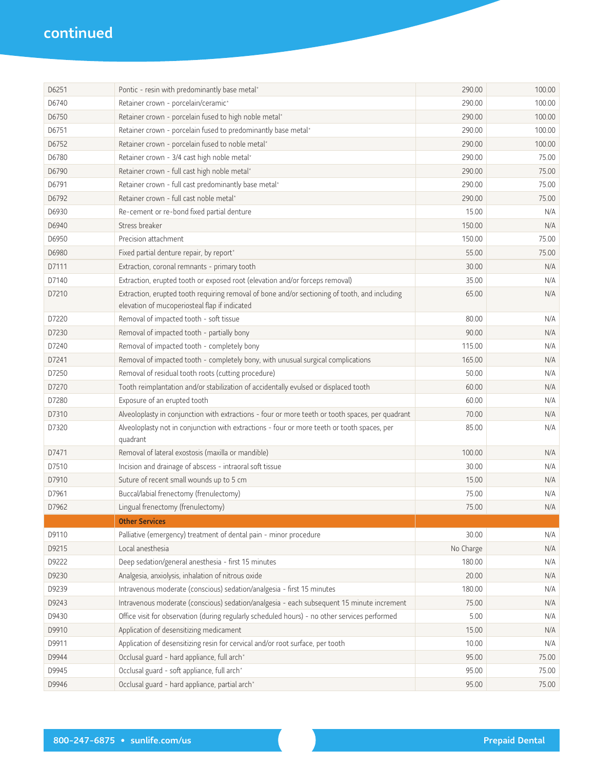| D6251 | Pontic - resin with predominantly base metal*                                                                                                  | 290.00    | 100.00 |
|-------|------------------------------------------------------------------------------------------------------------------------------------------------|-----------|--------|
| D6740 | Retainer crown - porcelain/ceramic*                                                                                                            | 290.00    | 100.00 |
| D6750 | Retainer crown - porcelain fused to high noble metal*                                                                                          | 290.00    | 100.00 |
| D6751 | Retainer crown - porcelain fused to predominantly base metal*                                                                                  | 290.00    | 100.00 |
| D6752 | Retainer crown - porcelain fused to noble metal*                                                                                               | 290.00    | 100.00 |
| D6780 | Retainer crown - 3/4 cast high noble metal*                                                                                                    | 290.00    | 75.00  |
| D6790 | Retainer crown - full cast high noble metal*                                                                                                   | 290.00    | 75.00  |
| D6791 | Retainer crown - full cast predominantly base metal*                                                                                           | 290.00    | 75.00  |
| D6792 | Retainer crown - full cast noble metal*                                                                                                        | 290.00    | 75.00  |
| D6930 | Re-cement or re-bond fixed partial denture                                                                                                     | 15.00     | N/A    |
| D6940 | Stress breaker                                                                                                                                 | 150.00    | N/A    |
| D6950 | Precision attachment                                                                                                                           | 150.00    | 75.00  |
| D6980 | Fixed partial denture repair, by report*                                                                                                       | 55.00     | 75.00  |
| D7111 | Extraction, coronal remnants - primary tooth                                                                                                   | 30.00     | N/A    |
| D7140 | Extraction, erupted tooth or exposed root (elevation and/or forceps removal)                                                                   | 35.00     | N/A    |
| D7210 | Extraction, erupted tooth requiring removal of bone and/or sectioning of tooth, and including<br>elevation of mucoperiosteal flap if indicated | 65.00     | N/A    |
| D7220 | Removal of impacted tooth - soft tissue                                                                                                        | 80.00     | N/A    |
| D7230 | Removal of impacted tooth - partially bony                                                                                                     | 90.00     | N/A    |
| D7240 | Removal of impacted tooth - completely bony                                                                                                    | 115.00    | N/A    |
| D7241 | Removal of impacted tooth - completely bony, with unusual surgical complications                                                               | 165.00    | N/A    |
| D7250 | Removal of residual tooth roots (cutting procedure)                                                                                            | 50.00     | N/A    |
| D7270 | Tooth reimplantation and/or stabilization of accidentally evulsed or displaced tooth                                                           | 60.00     | N/A    |
| D7280 | Exposure of an erupted tooth                                                                                                                   | 60.00     | N/A    |
| D7310 | Alveoloplasty in conjunction with extractions - four or more teeth or tooth spaces, per quadrant                                               | 70.00     | N/A    |
| D7320 | Alveoloplasty not in conjunction with extractions - four or more teeth or tooth spaces, per<br>quadrant                                        | 85.00     | N/A    |
| D7471 | Removal of lateral exostosis (maxilla or mandible)                                                                                             | 100.00    | N/A    |
| D7510 | Incision and drainage of abscess - intraoral soft tissue                                                                                       | 30.00     | N/A    |
| D7910 | Suture of recent small wounds up to 5 cm                                                                                                       | 15.00     | N/A    |
| D7961 | Buccal/labial frenectomy (frenulectomy)                                                                                                        | 75.00     | N/A    |
| D7962 | Lingual frenectomy (frenulectomy)                                                                                                              | 75.00     | N/A    |
|       | <b>Other Services</b>                                                                                                                          |           |        |
| D9110 | Palliative (emergency) treatment of dental pain - minor procedure                                                                              | 30.00     | N/A    |
| D9215 | Local anesthesia                                                                                                                               | No Charge | N/A    |
| D9222 | Deep sedation/general anesthesia - first 15 minutes                                                                                            | 180.00    | N/A    |
| D9230 | Analgesia, anxiolysis, inhalation of nitrous oxide                                                                                             | 20.00     | N/A    |
| D9239 | Intravenous moderate (conscious) sedation/analgesia - first 15 minutes                                                                         | 180.00    | N/A    |
| D9243 | Intravenous moderate (conscious) sedation/analgesia - each subsequent 15 minute increment                                                      | 75.00     | N/A    |
| D9430 | Office visit for observation (during regularly scheduled hours) - no other services performed                                                  | 5.00      | N/A    |
| D9910 | Application of desensitizing medicament                                                                                                        | 15.00     | N/A    |
| D9911 | Application of desensitizing resin for cervical and/or root surface, per tooth                                                                 | 10.00     | N/A    |
| D9944 | Occlusal guard - hard appliance, full arch*                                                                                                    | 95.00     | 75.00  |
| D9945 | Occlusal guard - soft appliance, full arch*                                                                                                    | 95.00     | 75.00  |
| D9946 | Occlusal guard - hard appliance, partial arch*                                                                                                 | 95.00     | 75.00  |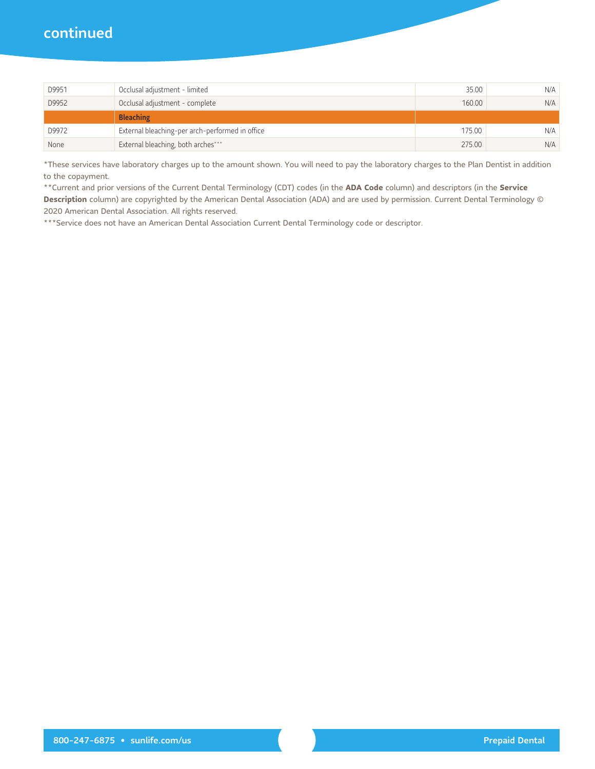| D9951 | Occlusal adjustment - limited                   | 35.00  | N/A |
|-------|-------------------------------------------------|--------|-----|
| D9952 | Occlusal adjustment - complete                  | 160.00 | N/A |
|       | <b>Bleaching</b>                                |        |     |
| D9972 | External bleaching-per arch-performed in office | 175.00 | N/A |
| None  | External bleaching, both arches***              | 275.00 | N/A |

\*These services have laboratory charges up to the amount shown. You will need to pay the laboratory charges to the Plan Dentist in addition to the copayment.

\*\* Current and prior versions of the Current Dental Terminology (CDT) codes (in the ADA Code column) and descriptors (in the Service Description column) are copyrighted by the American Dental Association (ADA) and are used by permission. Current Dental Terminology © 2020 American Dental Association. All rights reserved.

\*\*\*Service does not have an American Dental Association Current Dental Terminology code or descriptor.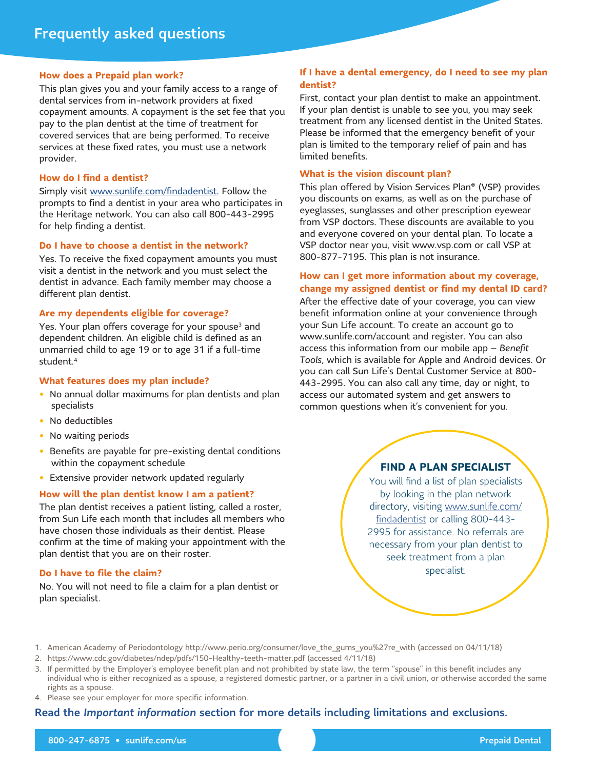#### **How does a Prepaid plan work?**

This plan gives you and your family access to a range of dental services from in-network providers at fixed copayment amounts. A copayment is the set fee that you pay to the plan dentist at the time of treatment for covered services that are being performed. To receive services at these fixed rates, you must use a network provider.

#### How do I find a dentist?

Simply visit www.sunlife.com/findadentist. Follow the prompts to find a dentist in your area who participates in the Heritage network. You can also call 800-443-2995 for help finding a dentist.

#### Do I have to choose a dentist in the network?

Yes. To receive the fixed copayment amounts you must visit a dentist in the network and you must select the dentist in advance. Each family member may choose a different plan dentist.

#### Are my dependents eligible for coverage?

Yes. Your plan offers coverage for your spouse<sup>3</sup> and dependent children. An eligible child is defined as an unmarried child to age 19 or to age 31 if a full-time student.<sup>4</sup>

#### What features does my plan include?

- No annual dollar maximums for plan dentists and plan specialists
- No deductibles
- No waiting periods
- Benefits are payable for pre-existing dental conditions within the copayment schedule
- Extensive provider network updated regularly

#### How will the plan dentist know I am a patient?

The plan dentist receives a patient listing, called a roster, from Sun Life each month that includes all members who have chosen those individuals as their dentist. Please confirm at the time of making your appointment with the plan dentist that you are on their roster.

#### Do I have to file the claim?

No. You will not need to file a claim for a plan dentist or plan specialist.

#### If I have a dental emergency, do I need to see my plan dentist?

First, contact your plan dentist to make an appointment. If your plan dentist is unable to see you, you may seek treatment from any licensed dentist in the United States. Please be informed that the emergency benefit of your plan is limited to the temporary relief of pain and has limited benefits.

#### What is the vision discount plan?

This plan offered by Vision Services Plan® (VSP) provides you discounts on exams, as well as on the purchase of eveglasses, sunglasses and other prescription evewear from VSP doctors. These discounts are available to you and everyone covered on your dental plan. To locate a VSP doctor near you, visit www.vsp.com or call VSP at 800-877-7195. This plan is not insurance.

## How can I get more information about my coverage, change my assigned dentist or find my dental ID card?

After the effective date of your coverage, you can view benefit information online at your convenience through your Sun Life account. To create an account go to www.sunlife.com/account and register. You can also access this information from our mobile app  $-$  Benefit Tools, which is available for Apple and Android devices. Or you can call Sun Life's Dental Customer Service at 800-443-2995. You can also call any time, day or night, to access our automated system and get answers to common questions when it's convenient for you.

### **FIND A PLAN SPECIALIST**

You will find a list of plan specialists by looking in the plan network directory, visiting www.sunlife.com/ findadentist or calling 800-443-2995 for assistance. No referrals are necessary from your plan dentist to seek treatment from a plan specialist.

- 1. American Academy of Periodontology http://www.perio.org/consumer/love\_the\_gums\_you%27re\_with (accessed on 04/11/18)
- 2. https://www.cdc.gov/diabetes/ndep/pdfs/150-Healthy-teeth-matter.pdf (accessed 4/11/18)
- 3. If permitted by the Employer's employee benefit plan and not prohibited by state law, the term "spouse" in this benefit includes any individual who is either recognized as a spouse, a registered domestic partner, or a partner in a civil union, or otherwise accorded the same rights as a spouse.
- 4. Please see your employer for more specific information.

## Read the Important information section for more details including limitations and exclusions.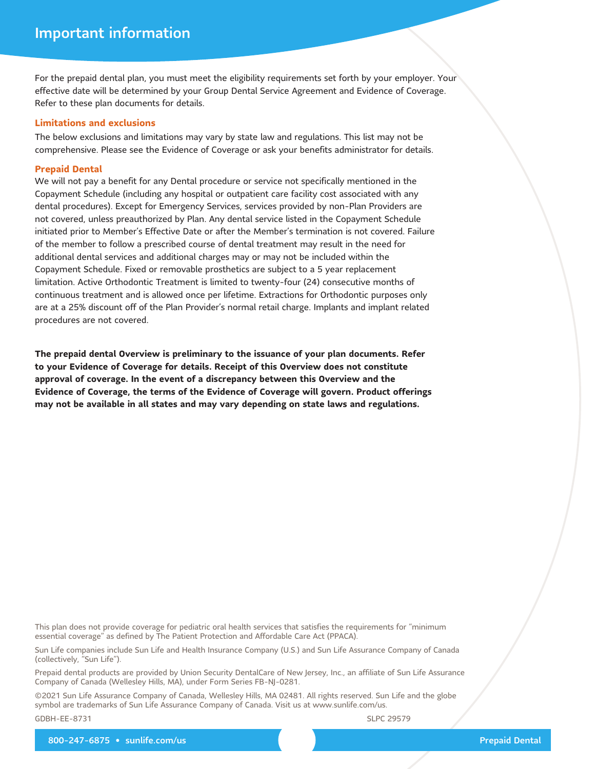For the prepaid dental plan, you must meet the eligibility requirements set forth by your employer. Your effective date will be determined by your Group Dental Service Agreement and Evidence of Coverage. Refer to these plan documents for details.

#### **Limitations and exclusions**

The below exclusions and limitations may vary by state law and regulations. This list may not be comprehensive. Please see the Evidence of Coverage or ask your benefits administrator for details.

#### **Prepaid Dental**

We will not pay a benefit for any Dental procedure or service not specifically mentioned in the Copayment Schedule (including any hospital or outpatient care facility cost associated with any dental procedures). Except for Emergency Services, services provided by non-Plan Providers are not covered, unless preauthorized by Plan. Any dental service listed in the Copayment Schedule initiated prior to Member's Effective Date or after the Member's termination is not covered. Failure of the member to follow a prescribed course of dental treatment may result in the need for additional dental services and additional charges may or may not be included within the Copayment Schedule. Fixed or removable prosthetics are subject to a 5 year replacement limitation. Active Orthodontic Treatment is limited to twenty-four (24) consecutive months of continuous treatment and is allowed once per lifetime. Extractions for Orthodontic purposes only are at a 25% discount off of the Plan Provider's normal retail charge. Implants and implant related procedures are not covered.

The prepaid dental Overview is preliminary to the issuance of your plan documents. Refer to your Evidence of Coverage for details. Receipt of this Overview does not constitute approval of coverage. In the event of a discrepancy between this Overview and the Evidence of Coverage, the terms of the Evidence of Coverage will govern. Product offerings may not be available in all states and may vary depending on state laws and regulations.

This plan does not provide coverage for pediatric oral health services that satisfies the requirements for "minimum essential coverage" as defined by The Patient Protection and Affordable Care Act (PPACA).

Sun Life companies include Sun Life and Health Insurance Company (U.S.) and Sun Life Assurance Company of Canada (collectively, "Sun Life").

Prepaid dental products are provided by Union Security DentalCare of New Jersey, Inc., an affiliate of Sun Life Assurance Company of Canada (Wellesley Hills, MA), under Form Series FB-NJ-0281.

©2021 Sun Life Assurance Company of Canada, Wellesley Hills, MA 02481. All rights reserved. Sun Life and the globe symbol are trademarks of Sun Life Assurance Company of Canada. Visit us at www.sunlife.com/us.

GDBH-EE-8731

SLPC 29579